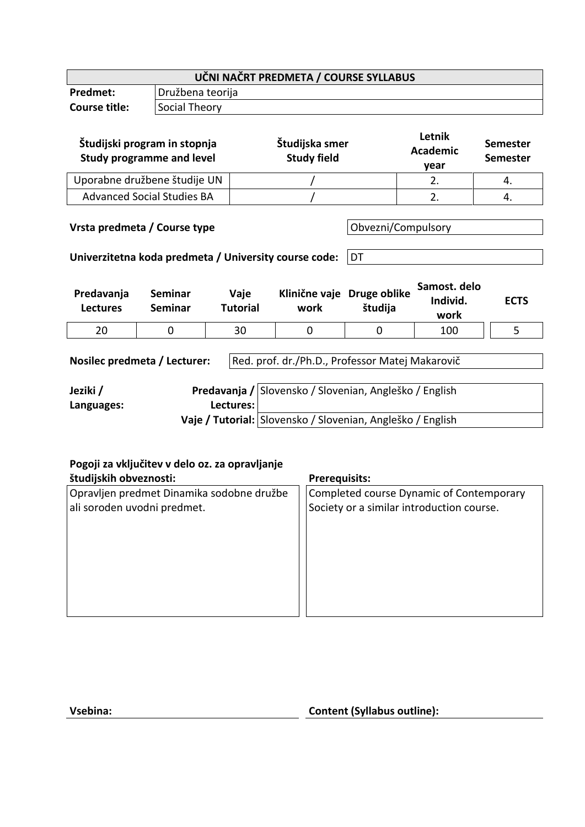| UČNI NAČRT PREDMETA / COURSE SYLLABUS                                                                                                                       |                                                                  |                         |                                      |                          |                                   |                                    |  |
|-------------------------------------------------------------------------------------------------------------------------------------------------------------|------------------------------------------------------------------|-------------------------|--------------------------------------|--------------------------|-----------------------------------|------------------------------------|--|
| Predmet:                                                                                                                                                    | Družbena teorija                                                 |                         |                                      |                          |                                   |                                    |  |
| <b>Course title:</b>                                                                                                                                        | Social Theory                                                    |                         |                                      |                          |                                   |                                    |  |
|                                                                                                                                                             | Študijski program in stopnja<br><b>Study programme and level</b> |                         | Študijska smer<br><b>Study field</b> |                          | Letnik<br><b>Academic</b><br>year | <b>Semester</b><br><b>Semester</b> |  |
| Uporabne družbene študije UN                                                                                                                                |                                                                  |                         |                                      |                          | 2.                                | 4.                                 |  |
|                                                                                                                                                             | <b>Advanced Social Studies BA</b>                                |                         |                                      |                          | 2.                                | 4.                                 |  |
| Vrsta predmeta / Course type<br>Univerzitetna koda predmeta / University course code:                                                                       |                                                                  |                         |                                      | Obvezni/Compulsory<br>DT |                                   |                                    |  |
| Predavanja<br><b>Lectures</b>                                                                                                                               | <b>Seminar</b><br><b>Seminar</b>                                 | Vaje<br><b>Tutorial</b> | Klinične vaje Druge oblike<br>work   | študija                  | Samost, delo<br>Individ.<br>work  | <b>ECTS</b>                        |  |
| 20                                                                                                                                                          | 0                                                                | 30                      | $\Omega$                             | $\Omega$                 | 100                               | 5                                  |  |
| Red. prof. dr./Ph.D., Professor Matej Makarovič<br>Nosilec predmeta / Lecturer:                                                                             |                                                                  |                         |                                      |                          |                                   |                                    |  |
| Predavanja / Slovensko / Slovenian, Angleško / English<br>Jeziki /<br>Lectures:<br>Languages:<br>Vaje / Tutorial: Slovensko / Slovenian, Angleško / English |                                                                  |                         |                                      |                          |                                   |                                    |  |

**Pogoji za vključitev v delo oz. za opravljanje** 

# **študijskih obveznosti: Prerequisits:** Opravljen predmet Dinamika sodobne družbe ali soroden uvodni predmet. Completed course Dynamic of Contemporary Society or a similar introduction course.

**Vsebina: Content (Syllabus outline):**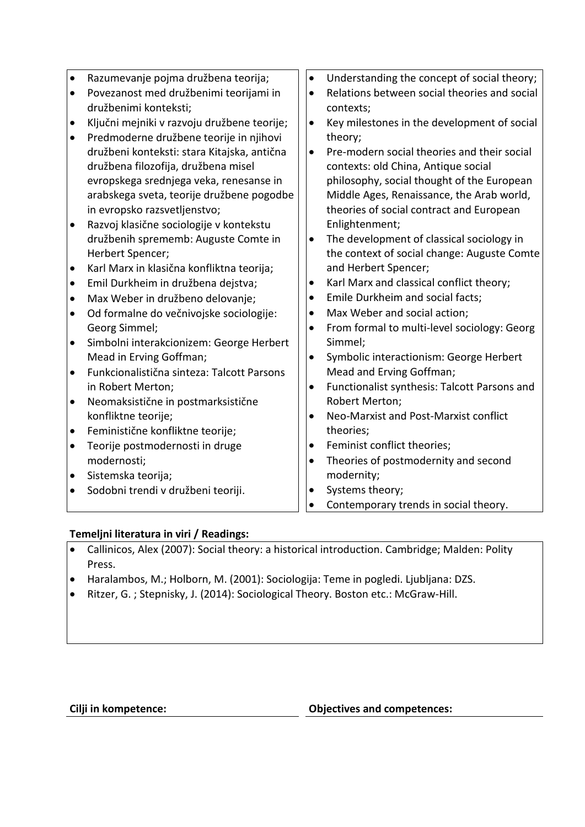| $\bullet$ | Razumevanje pojma družbena teorija;         | $\bullet$ | Understanding the concept of social theory;  |
|-----------|---------------------------------------------|-----------|----------------------------------------------|
| $\bullet$ | Povezanost med družbenimi teorijami in      | $\bullet$ | Relations between social theories and social |
|           | družbenimi konteksti;                       |           | contexts;                                    |
| $\bullet$ | Ključni mejniki v razvoju družbene teorije; | $\bullet$ | Key milestones in the development of social  |
| $\bullet$ | Predmoderne družbene teorije in njihovi     |           | theory;                                      |
|           | družbeni konteksti: stara Kitajska, antična | $\bullet$ | Pre-modern social theories and their social  |
|           | družbena filozofija, družbena misel         |           | contexts: old China, Antique social          |
|           | evropskega srednjega veka, renesanse in     |           | philosophy, social thought of the European   |
|           | arabskega sveta, teorije družbene pogodbe   |           | Middle Ages, Renaissance, the Arab world,    |
|           | in evropsko razsvetljenstvo;                |           | theories of social contract and European     |
| $\bullet$ | Razvoj klasične sociologije v kontekstu     |           | Enlightenment;                               |
|           | družbenih sprememb: Auguste Comte in        | $\bullet$ | The development of classical sociology in    |
|           | Herbert Spencer;                            |           | the context of social change: Auguste Comte  |
| $\bullet$ | Karl Marx in klasična konfliktna teorija;   |           | and Herbert Spencer;                         |
| $\bullet$ | Emil Durkheim in družbena dejstva;          | ٠         | Karl Marx and classical conflict theory;     |
| $\bullet$ | Max Weber in družbeno delovanje;            | $\bullet$ | Emile Durkheim and social facts;             |
| $\bullet$ | Od formalne do večnivojske sociologije:     | $\bullet$ | Max Weber and social action;                 |
|           | Georg Simmel;                               | $\bullet$ | From formal to multi-level sociology: Georg  |
| $\bullet$ | Simbolni interakcionizem: George Herbert    |           | Simmel;                                      |
|           | Mead in Erving Goffman;                     | $\bullet$ | Symbolic interactionism: George Herbert      |
| $\bullet$ | Funkcionalistična sinteza: Talcott Parsons  |           | Mead and Erving Goffman;                     |
|           | in Robert Merton;                           | $\bullet$ | Functionalist synthesis: Talcott Parsons and |
| $\bullet$ | Neomaksistične in postmarksistične          |           | Robert Merton;                               |
|           | konfliktne teorije;                         | $\bullet$ | Neo-Marxist and Post-Marxist conflict        |
| $\bullet$ | Feministične konfliktne teorije;            |           | theories;                                    |
| $\bullet$ | Teorije postmodernosti in druge             | $\bullet$ | Feminist conflict theories;                  |
|           | modernosti;                                 | $\bullet$ | Theories of postmodernity and second         |
| $\bullet$ | Sistemska teorija;                          |           | modernity;                                   |
| $\bullet$ | Sodobni trendi v družbeni teoriji.          | $\bullet$ | Systems theory;                              |
|           |                                             |           | Contemporary trends in social theory.        |

### **Temeljni literatura in viri / Readings:**

- Callinicos, Alex (2007): Social theory: a historical introduction. Cambridge; Malden: Polity Press.
- Haralambos, M.; Holborn, M. (2001): Sociologija: Teme in pogledi. Ljubljana: DZS.
- Ritzer, G. ; Stepnisky, J. (2014): Sociological Theory. Boston etc.: McGraw-Hill.

### **Cilji in kompetence: Objectives and competences:**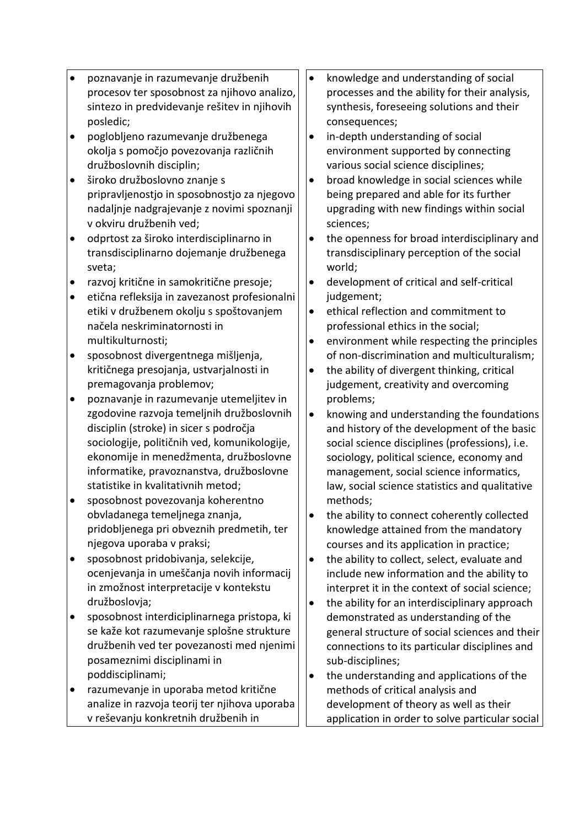- poznavanje in razumevanje družbenih procesov ter sposobnost za njihovo analizo, sintezo in predvidevanje rešitev in njihovih posledic;
- poglobljeno razumevanje družbenega okolja s pomočjo povezovanja različnih družboslovnih disciplin;
- široko družboslovno znanje s pripravljenostjo in sposobnostjo za njegovo nadaljnje nadgrajevanje z novimi spoznanji v okviru družbenih ved;
- odprtost za široko interdisciplinarno in transdisciplinarno dojemanje družbenega sveta;
- razvoj kritične in samokritične presoje;
- etična refleksija in zavezanost profesionalni etiki v družbenem okolju s spoštovanjem načela neskriminatornosti in multikulturnosti;
- sposobnost divergentnega mišljenja, kritičnega presojanja, ustvarjalnosti in premagovanja problemov;
- poznavanje in razumevanje utemeljitev in zgodovine razvoja temeljnih družboslovnih disciplin (stroke) in sicer s področja sociologije, političnih ved, komunikologije, ekonomije in menedžmenta, družboslovne informatike, pravoznanstva, družboslovne statistike in kvalitativnih metod;
- sposobnost povezovanja koherentno obvladanega temeljnega znanja, pridobljenega pri obveznih predmetih, ter njegova uporaba v praksi;
- sposobnost pridobivanja, selekcije, ocenjevanja in umeščanja novih informacij in zmožnost interpretacije v kontekstu družboslovja;
- sposobnost interdiciplinarnega pristopa, ki se kaže kot razumevanje splošne strukture družbenih ved ter povezanosti med njenimi posameznimi disciplinami in poddisciplinami;
- razumevanje in uporaba metod kritične analize in razvoja teorij ter njihova uporaba v reševanju konkretnih družbenih in
- knowledge and understanding of social processes and the ability for their analysis, synthesis, foreseeing solutions and their consequences;
- in-depth understanding of social environment supported by connecting various social science disciplines;
- broad knowledge in social sciences while being prepared and able for its further upgrading with new findings within social sciences;
- the openness for broad interdisciplinary and transdisciplinary perception of the social world;
- development of critical and self-critical judgement;
- ethical reflection and commitment to professional ethics in the social;
- environment while respecting the principles of non-discrimination and multiculturalism;
- the ability of divergent thinking, critical judgement, creativity and overcoming problems;
- knowing and understanding the foundations and history of the development of the basic social science disciplines (professions), i.e. sociology, political science, economy and management, social science informatics, law, social science statistics and qualitative methods;
- the ability to connect coherently collected knowledge attained from the mandatory courses and its application in practice;
- the ability to collect, select, evaluate and include new information and the ability to interpret it in the context of social science;
- the ability for an interdisciplinary approach demonstrated as understanding of the general structure of social sciences and their connections to its particular disciplines and sub-disciplines;
- the understanding and applications of the methods of critical analysis and development of theory as well as their application in order to solve particular social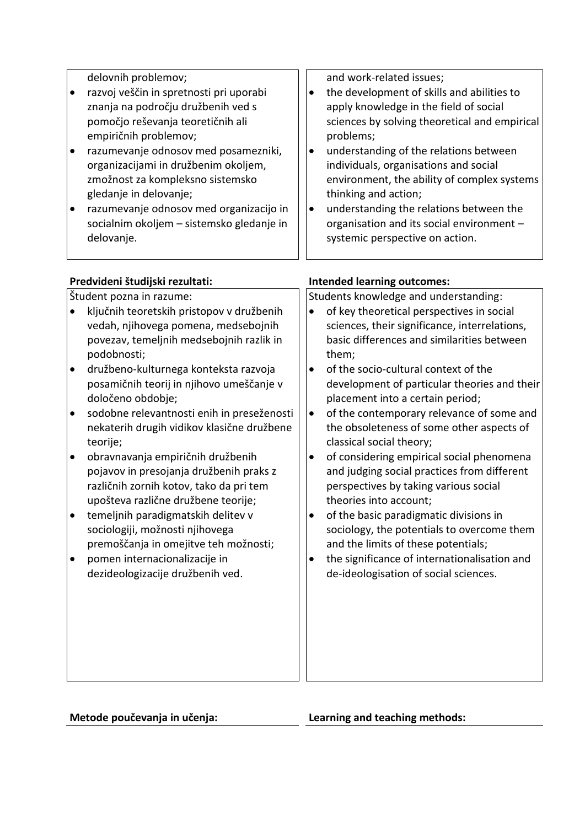|           | delovnih problemov;                        |           | and work-related issues;                      |
|-----------|--------------------------------------------|-----------|-----------------------------------------------|
| $\bullet$ | razvoj veščin in spretnosti pri uporabi    | $\bullet$ | the development of skills and abilities to    |
|           | znanja na področju družbenih ved s         |           | apply knowledge in the field of social        |
|           | pomočjo reševanja teoretičnih ali          |           | sciences by solving theoretical and empirical |
|           | empiričnih problemov;                      |           | problems;                                     |
| $\bullet$ | razumevanje odnosov med posamezniki,       | $\bullet$ | understanding of the relations between        |
|           | organizacijami in družbenim okoljem,       |           | individuals, organisations and social         |
|           | zmožnost za kompleksno sistemsko           |           | environment, the ability of complex systems   |
|           | gledanje in delovanje;                     |           | thinking and action;                          |
| $\bullet$ | razumevanje odnosov med organizacijo in    | $\bullet$ | understanding the relations between the       |
|           | socialnim okoljem - sistemsko gledanje in  |           | organisation and its social environment -     |
|           | delovanje.                                 |           | systemic perspective on action.               |
|           |                                            |           |                                               |
|           |                                            |           |                                               |
|           | Predvideni študijski rezultati:            |           | <b>Intended learning outcomes:</b>            |
|           | Študent pozna in razume:                   |           | Students knowledge and understanding:         |
|           | ključnih teoretskih pristopov v družbenih  | $\bullet$ | of key theoretical perspectives in social     |
|           | vedah, njihovega pomena, medsebojnih       |           | sciences, their significance, interrelations, |
|           | povezav, temeljnih medsebojnih razlik in   |           | basic differences and similarities between    |
|           | podobnosti;                                |           | them;                                         |
| $\bullet$ | družbeno-kulturnega konteksta razvoja      | $\bullet$ | of the socio-cultural context of the          |
|           | posamičnih teorij in njihovo umeščanje v   |           | development of particular theories and their  |
|           | določeno obdobje;                          |           | placement into a certain period;              |
| $\bullet$ | sodobne relevantnosti enih in preseženosti | $\bullet$ | of the contemporary relevance of some and     |
|           | nekaterih drugih vidikov klasične družbene |           | the obsoleteness of some other aspects of     |
|           | teorije;                                   |           | classical social theory;                      |
| $\bullet$ | obravnavanja empiričnih družbenih          | $\bullet$ | of considering empirical social phenomena     |
|           | pojavov in presojanja družbenih praks z    |           | and judging social practices from different   |
|           | različnih zornih kotov, tako da pri tem    |           | perspectives by taking various social         |
|           | upošteva različne družbene teorije;        |           | theories into account;                        |
|           | temeljnih paradigmatskih delitev v         | ٠         | of the basic paradigmatic divisions in        |
|           | sociologiji, možnosti njihovega            |           | sociology, the potentials to overcome them    |
|           | premoščanja in omejitve teh možnosti;      |           | and the limits of these potentials;           |
| $\bullet$ | pomen internacionalizacije in              | $\bullet$ | the significance of internationalisation and  |
|           | dezideologizacije družbenih ved.           |           | de-ideologisation of social sciences.         |
|           |                                            |           |                                               |
|           |                                            |           |                                               |
|           |                                            |           |                                               |
|           |                                            |           |                                               |
|           |                                            |           |                                               |
|           |                                            |           |                                               |
|           |                                            |           |                                               |
|           |                                            |           |                                               |

**Metode poučevanja in učenja: Learning and teaching methods:**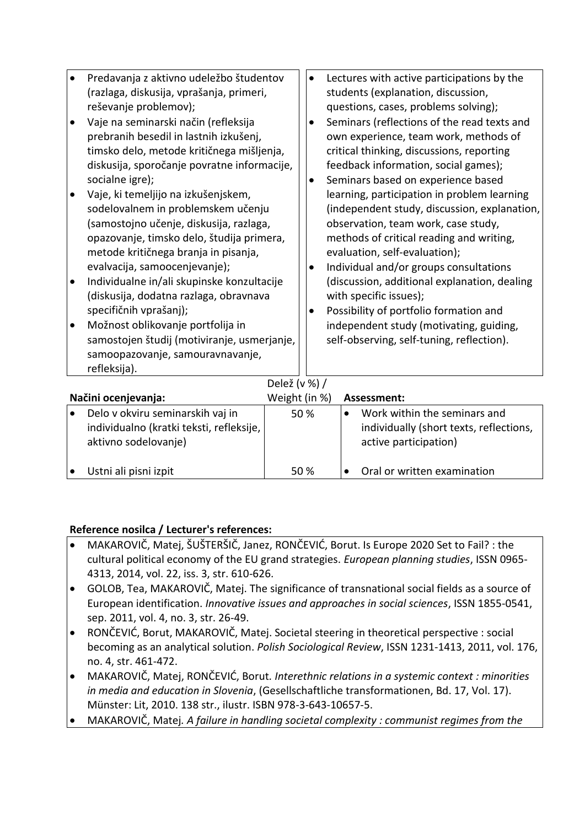| Predavanja z aktivno udeležbo študentov<br>(razlaga, diskusija, vprašanja, primeri,<br>reševanje problemov);<br>Vaje na seminarski način (refleksija<br>$\bullet$<br>prebranih besedil in lastnih izkušenj,<br>timsko delo, metode kritičnega mišljenja, |                                                             | $\bullet$<br>٠ | Lectures with active participations by the<br>students (explanation, discussion,<br>questions, cases, problems solving);<br>Seminars (reflections of the read texts and<br>own experience, team work, methods of<br>critical thinking, discussions, reporting |                                                                                                                                                            |                                           |  |
|----------------------------------------------------------------------------------------------------------------------------------------------------------------------------------------------------------------------------------------------------------|-------------------------------------------------------------|----------------|---------------------------------------------------------------------------------------------------------------------------------------------------------------------------------------------------------------------------------------------------------------|------------------------------------------------------------------------------------------------------------------------------------------------------------|-------------------------------------------|--|
| diskusija, sporočanje povratne informacije,<br>socialne igre);<br>Vaje, ki temeljijo na izkušenjskem,<br>sodelovalnem in problemskem učenju                                                                                                              |                                                             | ٠              | feedback information, social games);<br>Seminars based on experience based<br>learning, participation in problem learning<br>(independent study, discussion, explanation,                                                                                     |                                                                                                                                                            |                                           |  |
| (samostojno učenje, diskusija, razlaga,<br>opazovanje, timsko delo, študija primera,<br>metode kritičnega branja in pisanja,<br>evalvacija, samoocenjevanje);                                                                                            |                                                             | ٠              |                                                                                                                                                                                                                                                               | observation, team work, case study,<br>methods of critical reading and writing,<br>evaluation, self-evaluation);<br>Individual and/or groups consultations |                                           |  |
| Individualne in/ali skupinske konzultacije<br>$\bullet$<br>(diskusija, dodatna razlaga, obravnava                                                                                                                                                        |                                                             |                |                                                                                                                                                                                                                                                               | (discussion, additional explanation, dealing<br>with specific issues);                                                                                     |                                           |  |
| $\bullet$                                                                                                                                                                                                                                                | specifičnih vprašanj);<br>Možnost oblikovanje portfolija in |                | $\bullet$                                                                                                                                                                                                                                                     | Possibility of portfolio formation and<br>independent study (motivating, guiding,                                                                          |                                           |  |
| samostojen študij (motiviranje, usmerjanje,<br>samoopazovanje, samouravnavanje,<br>refleksija).                                                                                                                                                          |                                                             |                |                                                                                                                                                                                                                                                               | self-observing, self-tuning, reflection).                                                                                                                  |                                           |  |
| Delež (v %) /                                                                                                                                                                                                                                            |                                                             |                |                                                                                                                                                                                                                                                               |                                                                                                                                                            |                                           |  |
| Načini ocenjevanja:                                                                                                                                                                                                                                      |                                                             | Weight (in %)  |                                                                                                                                                                                                                                                               |                                                                                                                                                            | Assessment:                               |  |
| $\bullet$                                                                                                                                                                                                                                                | Delo v okviru seminarskih vaj in                            |                | 50%                                                                                                                                                                                                                                                           |                                                                                                                                                            | Work within the seminars and<br>$\bullet$ |  |
| individualno (kratki teksti, refleksije,                                                                                                                                                                                                                 |                                                             |                |                                                                                                                                                                                                                                                               | individually (short texts, reflections,                                                                                                                    |                                           |  |
| aktivno sodelovanje)                                                                                                                                                                                                                                     |                                                             |                |                                                                                                                                                                                                                                                               | active participation)                                                                                                                                      |                                           |  |

#### Ustni ali pisni izpit 50 % Oral or written examination

## **Reference nosilca / Lecturer's references:**

- MAKAROVIČ, Matej, ŠUŠTERŠIČ, Janez, RONČEVIĆ, Borut. Is Europe 2020 Set to Fail? : the cultural political economy of the EU grand strategies. *European planning studies*, ISSN 0965- 4313, 2014, vol. 22, iss. 3, str. 610-626.
- GOLOB, Tea, MAKAROVIČ, Matej. The significance of transnational social fields as a source of European identification. *Innovative issues and approaches in social sciences*, ISSN 1855-0541, sep. 2011, vol. 4, no. 3, str. 26-49.
- RONČEVIĆ, Borut, MAKAROVIČ, Matej. Societal steering in theoretical perspective : social becoming as an analytical solution. *Polish Sociological Review*, ISSN 1231-1413, 2011, vol. 176, no. 4, str. 461-472.
- MAKAROVIČ, Matej, RONČEVIĆ, Borut*. Interethnic relations in a systemic context : minorities in media and education in Slovenia*, (Gesellschaftliche transformationen, Bd. 17, Vol. 17). Münster: Lit, 2010. 138 str., ilustr. ISBN 978-3-643-10657-5.
- MAKAROVIČ, Matej*. A failure in handling societal complexity : communist regimes from the*